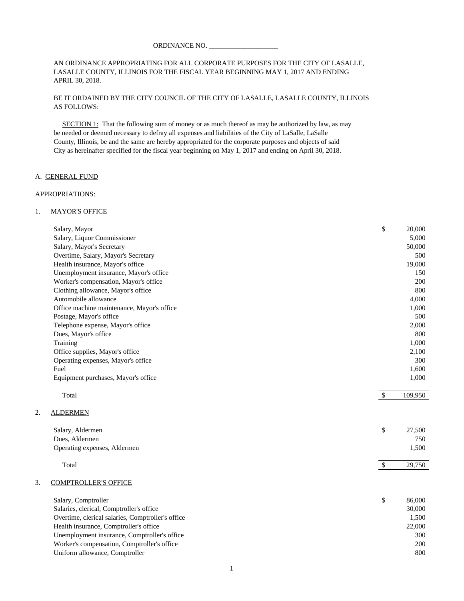AN ORDINANCE APPROPRIATING FOR ALL CORPORATE PURPOSES FOR THE CITY OF LASALLE, LASALLE COUNTY, ILLINOIS FOR THE FISCAL YEAR BEGINNING MAY 1, 2017 AND ENDING APRIL 30, 2018.

BE IT ORDAINED BY THE CITY COUNCIL OF THE CITY OF LASALLE, LASALLE COUNTY, ILLINOIS AS FOLLOWS:

SECTION 1: That the following sum of money or as much thereof as may be authorized by law, as may be needed or deemed necessary to defray all expenses and liabilities of the City of LaSalle, LaSalle County, Illinois, be and the same are hereby appropriated for the corporate purposes and objects of said City as hereinafter specified for the fiscal year beginning on May 1, 2017 and ending on April 30, 2018.

#### A. GENERAL FUND

#### APPROPRIATIONS:

2.

#### 1. MAYOR'S OFFICE

|    | Salary, Mayor                                     | \$            | 20,000  |
|----|---------------------------------------------------|---------------|---------|
|    | Salary, Liquor Commissioner                       |               | 5,000   |
|    | Salary, Mayor's Secretary                         |               | 50,000  |
|    | Overtime, Salary, Mayor's Secretary               |               | 500     |
|    | Health insurance, Mayor's office                  |               | 19,000  |
|    | Unemployment insurance, Mayor's office            |               | 150     |
|    | Worker's compensation, Mayor's office             |               | 200     |
|    | Clothing allowance, Mayor's office                |               | 800     |
|    | Automobile allowance                              |               | 4,000   |
|    | Office machine maintenance, Mayor's office        |               | 1,000   |
|    | Postage, Mayor's office                           |               | 500     |
|    | Telephone expense, Mayor's office                 |               | 2,000   |
|    | Dues, Mayor's office                              |               | 800     |
|    | Training                                          |               | 1,000   |
|    | Office supplies, Mayor's office                   |               | 2,100   |
|    | Operating expenses, Mayor's office                |               | 300     |
|    | Fuel                                              |               | 1,600   |
|    | Equipment purchases, Mayor's office               |               | 1,000   |
|    | Total                                             | $\mathbb{S}$  | 109,950 |
| 2. | <b>ALDERMEN</b>                                   |               |         |
|    | Salary, Aldermen                                  | \$            | 27,500  |
|    | Dues, Aldermen                                    |               | 750     |
|    | Operating expenses, Aldermen                      |               | 1,500   |
|    | Total                                             | $\mathcal{S}$ | 29,750  |
| 3. | <b>COMPTROLLER'S OFFICE</b>                       |               |         |
|    | Salary, Comptroller                               | \$            | 86,000  |
|    | Salaries, clerical, Comptroller's office          |               | 30,000  |
|    | Overtime, clerical salaries, Comptroller's office |               | 1,500   |
|    | Health insurance, Comptroller's office            |               | 22,000  |
|    | Unemployment insurance, Comptroller's office      |               | 300     |
|    | Worker's compensation, Comptroller's office       |               | 200     |
|    | Uniform allowance, Comptroller                    |               | 800     |
|    |                                                   |               |         |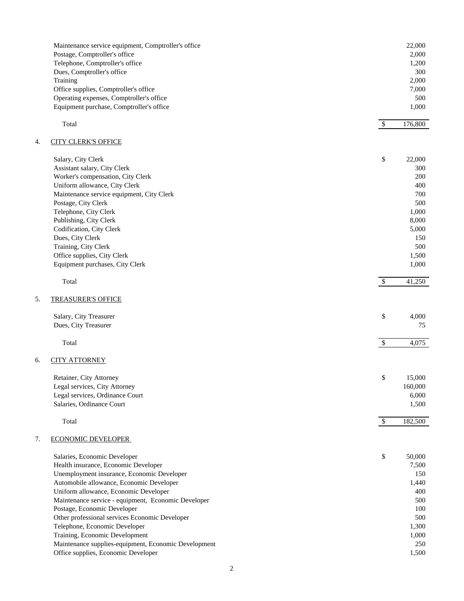|    | Maintenance service equipment, Comptroller's office  |                           | 22,000  |
|----|------------------------------------------------------|---------------------------|---------|
|    | Postage, Comptroller's office                        |                           | 2,000   |
|    | Telephone, Comptroller's office                      |                           | 1,200   |
|    | Dues, Comptroller's office                           |                           | 300     |
|    | Training                                             |                           | 2,000   |
|    | Office supplies, Comptroller's office                |                           | 7,000   |
|    | Operating expenses, Comptroller's office             |                           | 500     |
|    | Equipment purchase, Comptroller's office             |                           | 1,000   |
|    |                                                      |                           |         |
|    | Total                                                | $\$\,$                    | 176,800 |
|    |                                                      |                           |         |
|    |                                                      |                           |         |
| 4. | <b>CITY CLERK'S OFFICE</b>                           |                           |         |
|    |                                                      |                           |         |
|    | Salary, City Clerk                                   | \$                        | 22,000  |
|    | Assistant salary, City Clerk                         |                           | 300     |
|    | Worker's compensation, City Clerk                    |                           | 200     |
|    | Uniform allowance, City Clerk                        |                           | 400     |
|    | Maintenance service equipment, City Clerk            |                           | 700     |
|    | Postage, City Clerk                                  |                           | 500     |
|    | Telephone, City Clerk                                |                           | 1,000   |
|    | Publishing, City Clerk                               |                           | 8,000   |
|    | Codification, City Clerk                             |                           | 5,000   |
|    | Dues, City Clerk                                     |                           | 150     |
|    | Training, City Clerk                                 |                           | 500     |
|    | Office supplies, City Clerk                          |                           | 1,500   |
|    | Equipment purchases, City Clerk                      |                           | 1,000   |
|    |                                                      |                           |         |
|    | Total                                                | $\mathcal{S}$             | 41,250  |
|    |                                                      |                           |         |
| 5. |                                                      |                           |         |
|    | <b>TREASURER'S OFFICE</b>                            |                           |         |
|    |                                                      |                           |         |
|    | Salary, City Treasurer                               | \$                        | 4,000   |
|    | Dues, City Treasurer                                 |                           | 75      |
|    |                                                      |                           |         |
|    | Total                                                | $\boldsymbol{\mathsf{S}}$ | 4,075   |
|    |                                                      |                           |         |
| б. | <b>CITY ATTORNEY</b>                                 |                           |         |
|    |                                                      |                           |         |
|    | Retainer, City Attorney                              | \$                        | 15,000  |
|    | Legal services, City Attorney                        |                           | 160,000 |
|    | Legal services, Ordinance Court                      |                           | 6,000   |
|    | Salaries, Ordinance Court                            |                           | 1,500   |
|    |                                                      |                           |         |
|    | Total                                                | $\$\,$                    | 182,500 |
|    |                                                      |                           |         |
| 7. | <b>ECONOMIC DEVELOPER</b>                            |                           |         |
|    |                                                      |                           |         |
|    | Salaries, Economic Developer                         | \$                        | 50,000  |
|    |                                                      |                           |         |
|    | Health insurance, Economic Developer                 |                           | 7,500   |
|    | Unemployment insurance, Economic Developer           |                           | 150     |
|    | Automobile allowance, Economic Developer             |                           | 1,440   |
|    | Uniform allowance, Economic Developer                |                           | 400     |
|    | Maintenance service - equipment, Economic Developer  |                           | 500     |
|    | Postage, Economic Developer                          |                           | 100     |
|    | Other professional services Economic Developer       |                           | 500     |
|    | Telephone, Economic Developer                        |                           | 1,300   |
|    | Training, Economic Development                       |                           | 1,000   |
|    | Maintenance supplies-equipment, Economic Development |                           | 250     |
|    | Office supplies, Economic Developer                  |                           | 1,500   |
|    |                                                      |                           |         |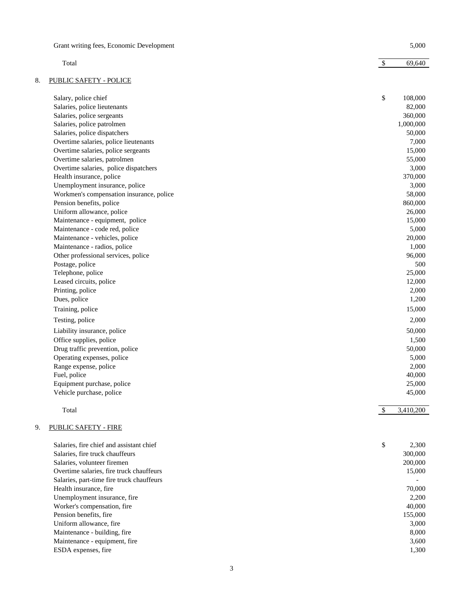|    | Grant writing fees, Economic Development  |              | 5,000     |
|----|-------------------------------------------|--------------|-----------|
|    | Total                                     | $\mathbb{S}$ | 69,640    |
| 8. | <b>PUBLIC SAFETY - POLICE</b>             |              |           |
|    | Salary, police chief                      | \$           | 108,000   |
|    | Salaries, police lieutenants              |              | 82,000    |
|    | Salaries, police sergeants                |              | 360,000   |
|    | Salaries, police patrolmen                |              | 1,000,000 |
|    | Salaries, police dispatchers              |              | 50,000    |
|    | Overtime salaries, police lieutenants     |              | 7,000     |
|    | Overtime salaries, police sergeants       |              | 15,000    |
|    | Overtime salaries, patrolmen              |              | 55,000    |
|    | Overtime salaries, police dispatchers     |              | 3,000     |
|    | Health insurance, police                  |              | 370,000   |
|    | Unemployment insurance, police            |              | 3,000     |
|    | Workmen's compensation insurance, police  |              | 58,000    |
|    | Pension benefits, police                  |              | 860,000   |
|    | Uniform allowance, police                 |              | 26,000    |
|    | Maintenance - equipment, police           |              | 15,000    |
|    | Maintenance - code red, police            |              | 5,000     |
|    | Maintenance - vehicles, police            |              | 20,000    |
|    | Maintenance - radios, police              |              | 1,000     |
|    | Other professional services, police       |              | 96,000    |
|    | Postage, police                           |              | 500       |
|    | Telephone, police                         |              | 25,000    |
|    | Leased circuits, police                   |              | 12,000    |
|    | Printing, police                          |              | 2,000     |
|    | Dues, police                              |              | 1,200     |
|    | Training, police                          |              | 15,000    |
|    |                                           |              |           |
|    | Testing, police                           |              | 2,000     |
|    | Liability insurance, police               |              | 50,000    |
|    | Office supplies, police                   |              | 1,500     |
|    | Drug traffic prevention, police           |              | 50,000    |
|    | Operating expenses, police                |              | 5,000     |
|    | Range expense, police                     |              | 2,000     |
|    | Fuel, police                              |              | 40,000    |
|    | Equipment purchase, police                |              | 25,000    |
|    | Vehicle purchase, police                  |              | 45,000    |
|    | Total                                     | \$           | 3,410,200 |
| 9. | <b>PUBLIC SAFETY - FIRE</b>               |              |           |
|    | Salaries, fire chief and assistant chief  | \$           | 2,300     |
|    | Salaries, fire truck chauffeurs           |              | 300,000   |
|    | Salaries, volunteer firemen               |              | 200,000   |
|    | Overtime salaries, fire truck chauffeurs  |              | 15,000    |
|    | Salaries, part-time fire truck chauffeurs |              |           |
|    | Health insurance, fire                    |              | 70,000    |
|    | Unemployment insurance, fire              |              | 2,200     |
|    | Worker's compensation, fire               |              | 40,000    |
|    | Pension benefits, fire                    |              | 155,000   |
|    | Uniform allowance, fire                   |              | 3,000     |
|    | Maintenance - building, fire              |              | 8,000     |

Maintenance - equipment, fire 3,600 ESDA expenses, fire 1,300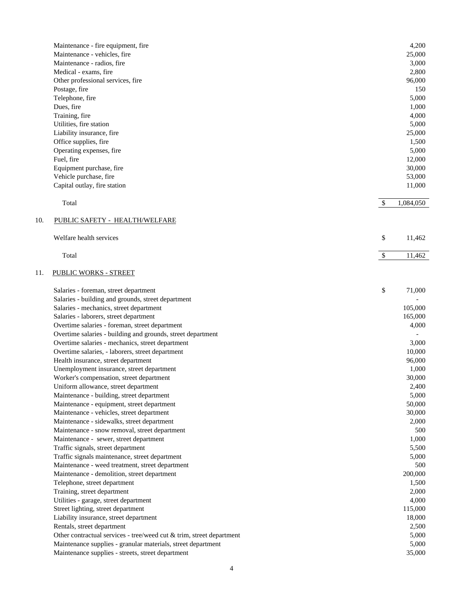|     | Maintenance - fire equipment, fire                                   |               | 4,200     |
|-----|----------------------------------------------------------------------|---------------|-----------|
|     | Maintenance - vehicles, fire                                         |               | 25,000    |
|     | Maintenance - radios, fire                                           |               | 3,000     |
|     | Medical - exams, fire                                                |               | 2,800     |
|     | Other professional services, fire                                    |               | 96,000    |
|     | Postage, fire                                                        |               | 150       |
|     | Telephone, fire                                                      |               | 5,000     |
|     | Dues, fire                                                           |               | 1,000     |
|     | Training, fire                                                       |               | 4,000     |
|     | Utilities, fire station                                              |               | 5,000     |
|     | Liability insurance, fire                                            |               | 25,000    |
|     | Office supplies, fire                                                |               | 1,500     |
|     | Operating expenses, fire                                             |               | 5,000     |
|     | Fuel, fire                                                           |               | 12,000    |
|     | Equipment purchase, fire                                             |               | 30,000    |
|     | Vehicle purchase, fire                                               |               | 53,000    |
|     | Capital outlay, fire station                                         |               | 11,000    |
|     | Total                                                                | $\mathcal{S}$ | 1,084,050 |
| 10. | PUBLIC SAFETY - HEALTH/WELFARE                                       |               |           |
|     | Welfare health services                                              | \$            | 11,462    |
|     | Total                                                                |               |           |
|     |                                                                      | \$            | 11,462    |
| 11. | <b>PUBLIC WORKS - STREET</b>                                         |               |           |
|     | Salaries - foreman, street department                                | \$            | 71,000    |
|     | Salaries - building and grounds, street department                   |               |           |
|     | Salaries - mechanics, street department                              |               | 105,000   |
|     | Salaries - laborers, street department                               |               | 165,000   |
|     | Overtime salaries - foreman, street department                       |               | 4,000     |
|     | Overtime salaries - building and grounds, street department          |               |           |
|     | Overtime salaries - mechanics, street department                     |               | 3,000     |
|     | Overtime salaries, - laborers, street department                     |               | 10,000    |
|     | Health insurance, street department                                  |               | 96,000    |
|     | Unemployment insurance, street department                            |               | 1,000     |
|     | Worker's compensation, street department                             |               | 30,000    |
|     | Uniform allowance, street department                                 |               | 2,400     |
|     | Maintenance - building, street department                            |               | 5,000     |
|     | Maintenance - equipment, street department                           |               | 50,000    |
|     | Maintenance - vehicles, street department                            |               | 30,000    |
|     | Maintenance - sidewalks, street department                           |               | 2,000     |
|     | Maintenance - snow removal, street department                        |               | 500       |
|     | Maintenance - sewer, street department                               |               | 1,000     |
|     | Traffic signals, street department                                   |               | 5,500     |
|     | Traffic signals maintenance, street department                       |               | 5,000     |
|     | Maintenance - weed treatment, street department                      |               | 500       |
|     | Maintenance - demolition, street department                          |               | 200,000   |
|     | Telephone, street department                                         |               | 1,500     |
|     | Training, street department                                          |               | 2,000     |
|     | Utilities - garage, street department                                |               | 4,000     |
|     | Street lighting, street department                                   |               | 115,000   |
|     | Liability insurance, street department                               |               | 18,000    |
|     | Rentals, street department                                           |               | 2,500     |
|     | Other contractual services - tree/weed cut & trim, street department |               | 5,000     |
|     | Maintenance supplies - granular materials, street department         |               | 5,000     |
|     | Maintenance supplies - streets, street department                    |               | 35,000    |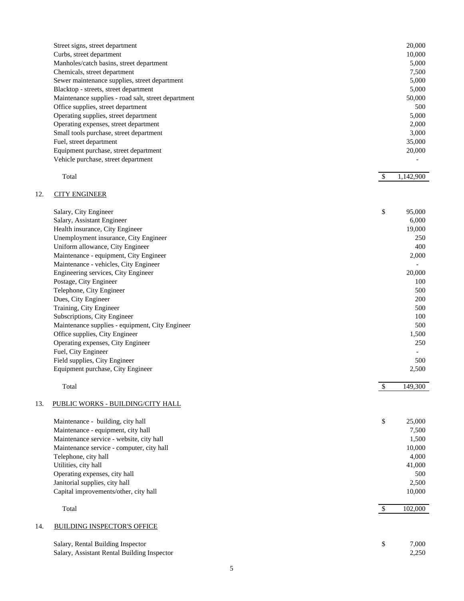| Street signs, street department                     | 20,000 |
|-----------------------------------------------------|--------|
| Curbs, street department                            | 10,000 |
| Manholes/catch basins, street department            | 5.000  |
| Chemicals, street department                        | 7,500  |
| Sewer maintenance supplies, street department       | 5,000  |
| Blacktop - streets, street department               | 5,000  |
| Maintenance supplies - road salt, street department | 50,000 |
| Office supplies, street department                  | 500    |
| Operating supplies, street department               | 5,000  |
| Operating expenses, street department               | 2,000  |
| Small tools purchase, street department             | 3.000  |
| Fuel, street department                             | 35,000 |
| Equipment purchase, street department               | 20,000 |
| Vehicle purchase, street department                 |        |
|                                                     |        |

#### $\text{Total}$   $\text{Total}$   $\text{Total}$   $\text{Total}$   $\text{Total}$   $\text{Total}$   $\text{Total}$   $\text{Total}$   $\text{Total}$   $\text{Total}$   $\text{Total}$   $\text{Total}$   $\text{Total}$   $\text{Total}$   $\text{Total}$   $\text{Total}$   $\text{Total}$   $\text{Total}$   $\text{Total}$   $\text{Total}$   $\text{Total}$   $\text{Total}$   $\text{Total}$   $\text{Total}$   $\text{Total}$   $\text{Total}$   $\text{Total}$   $\text{Total$

## 12. CITY ENGINEER

| Salary, City Engineer                           | \$<br>95,000 |
|-------------------------------------------------|--------------|
| Salary, Assistant Engineer                      | 6,000        |
| Health insurance, City Engineer                 | 19,000       |
| Unemployment insurance, City Engineer           | 250          |
| Uniform allowance, City Engineer                | 400          |
| Maintenance - equipment, City Engineer          | 2,000        |
| Maintenance - vehicles, City Engineer           |              |
| Engineering services, City Engineer             | 20,000       |
| Postage, City Engineer                          | 100          |
| Telephone, City Engineer                        | 500          |
| Dues, City Engineer                             | 200          |
| Training, City Engineer                         | 500          |
| Subscriptions, City Engineer                    | 100          |
| Maintenance supplies - equipment, City Engineer | 500          |
| Office supplies, City Engineer                  | 1,500        |
| Operating expenses, City Engineer               | 250          |
| Fuel, City Engineer                             |              |
| Field supplies, City Engineer                   | 500          |
| Equipment purchase, City Engineer               | 2,500        |
|                                                 |              |

#### Total States of the set of the set of the set of the set of the set of the set of the set of the set of the set of the set of the set of the set of the set of the set of the set of the set of the set of the set of the set

## 13. PUBLIC WORKS - BUILDING/CITY HALL

|                                           | 25,000      |     |
|-------------------------------------------|-------------|-----|
| Maintenance - building, city hall         | \$          |     |
| Maintenance - equipment, city hall        | 7,500       |     |
| Maintenance service - website, city hall  | 1,500       |     |
| Maintenance service - computer, city hall | 10,000      |     |
| Telephone, city hall                      | 4,000       |     |
| Utilities, city hall                      | 41,000      |     |
| Operating expenses, city hall             |             | 500 |
| Janitorial supplies, city hall            | 2,500       |     |
| Capital improvements/other, city hall     | 10,000      |     |
| Total                                     | 102,000     |     |
| 14.<br><b>BUILDING INSPECTOR'S OFFICE</b> |             |     |
| Salary, Rental Building Inspector         | \$<br>7.000 |     |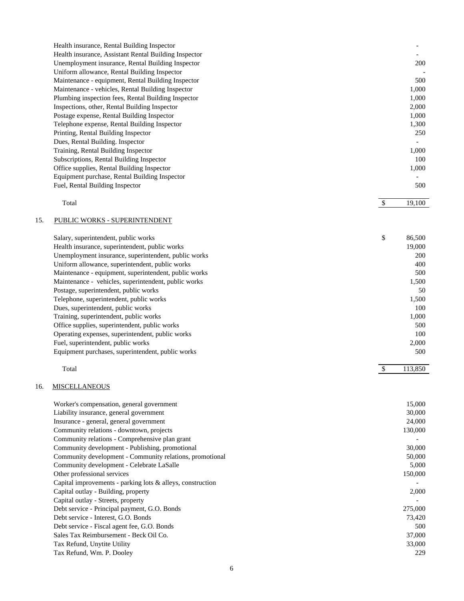| Health insurance, Rental Building Inspector           |       |
|-------------------------------------------------------|-------|
| Health insurance, Assistant Rental Building Inspector |       |
| Unemployment insurance, Rental Building Inspector     | 200   |
| Uniform allowance, Rental Building Inspector          |       |
| Maintenance - equipment, Rental Building Inspector    | 500   |
| Maintenance - vehicles, Rental Building Inspector     | 1,000 |
| Plumbing inspection fees, Rental Building Inspector   | 1.000 |
| Inspections, other, Rental Building Inspector         | 2,000 |
| Postage expense, Rental Building Inspector            | 1,000 |
| Telephone expense, Rental Building Inspector          | 1,300 |
| Printing, Rental Building Inspector                   | 250   |
| Dues, Rental Building. Inspector                      |       |
| Training, Rental Building Inspector                   | 1,000 |
| Subscriptions, Rental Building Inspector              | 100   |
| Office supplies, Rental Building Inspector            | 1,000 |
| Equipment purchase, Rental Building Inspector         |       |
| Fuel, Rental Building Inspector                       | 500   |
|                                                       |       |

| Total | $\triangle$<br>u | ,100 |
|-------|------------------|------|
|       |                  |      |

## 15. PUBLIC WORKS - SUPERINTENDENT

| \$<br>Salary, superintendent, public works            | 86,500     |
|-------------------------------------------------------|------------|
| Health insurance, superintendent, public works        | 19,000     |
| Unemployment insurance, superintendent, public works  | <b>200</b> |
| Uniform allowance, superintendent, public works       | 400        |
| Maintenance - equipment, superintendent, public works | 500        |
| Maintenance - vehicles, superintendent, public works  | 1,500      |
| Postage, superintendent, public works                 | 50         |
| Telephone, superintendent, public works               | 1,500      |
| Dues, superintendent, public works                    | 100        |
| Training, superintendent, public works                | 1,000      |
| Office supplies, superintendent, public works         | 500        |
| Operating expenses, superintendent, public works      | 100        |
| Fuel, superintendent, public works                    | 2,000      |
| Equipment purchases, superintendent, public works     | 500        |

| $\sim$<br>Total | $\triangle$<br>$\sqrt{2}$ | วเ<br>__<br>. |
|-----------------|---------------------------|---------------|
|                 |                           |               |

## 16. MISCELLANEOUS

| Worker's compensation, general government                     | 15,000  |
|---------------------------------------------------------------|---------|
| Liability insurance, general government                       | 30,000  |
| Insurance - general, general government                       | 24,000  |
| Community relations - downtown, projects                      | 130,000 |
| Community relations - Comprehensive plan grant                |         |
| Community development - Publishing, promotional               | 30,000  |
| Community development - Community relations, promotional      | 50,000  |
| Community development - Celebrate LaSalle                     | 5,000   |
| Other professional services                                   | 150,000 |
| Capital improvements - parking lots $\&$ alleys, construction |         |
| Capital outlay - Building, property                           | 2,000   |
| Capital outlay - Streets, property                            |         |
| Debt service - Principal payment, G.O. Bonds                  | 275,000 |
| Debt service - Interest, G.O. Bonds                           | 73,420  |
| Debt service - Fiscal agent fee, G.O. Bonds                   | 500     |
| Sales Tax Reimbursement - Beck Oil Co.                        | 37,000  |
| Tax Refund, Unytite Utility                                   | 33,000  |
| Tax Refund, Wm. P. Dooley                                     | 229     |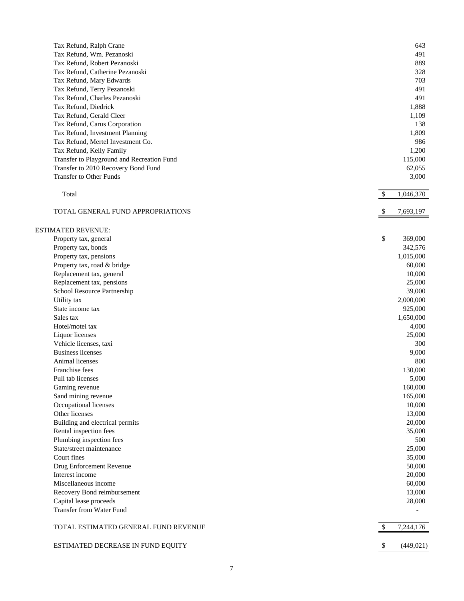|                           | Tax Refund, Ralph Crane                                              |               | 643        |
|---------------------------|----------------------------------------------------------------------|---------------|------------|
|                           | Tax Refund, Wm. Pezanoski                                            |               | 491        |
|                           | Tax Refund, Robert Pezanoski                                         |               | 889        |
|                           | Tax Refund, Catherine Pezanoski                                      |               | 328        |
|                           | Tax Refund, Mary Edwards                                             |               | 703        |
|                           | Tax Refund, Terry Pezanoski                                          |               | 491        |
|                           | Tax Refund, Charles Pezanoski                                        |               | 491        |
|                           | Tax Refund, Diedrick                                                 |               | 1,888      |
|                           | Tax Refund, Gerald Cleer                                             |               | 1,109      |
|                           | Tax Refund, Carus Corporation                                        |               | 138        |
|                           |                                                                      |               | 1,809      |
|                           | Tax Refund, Investment Planning<br>Tax Refund, Mertel Investment Co. |               |            |
|                           |                                                                      |               | 986        |
|                           | Tax Refund, Kelly Family                                             |               | 1,200      |
|                           | Transfer to Playground and Recreation Fund                           |               | 115,000    |
|                           | Transfer to 2010 Recovery Bond Fund                                  |               | 62,055     |
|                           | <b>Transfer to Other Funds</b>                                       |               | 3,000      |
| Total                     |                                                                      | -S            | 1,046,370  |
|                           |                                                                      |               |            |
|                           | TOTAL GENERAL FUND APPROPRIATIONS                                    | <sup>\$</sup> | 7,693,197  |
|                           |                                                                      |               |            |
| <b>ESTIMATED REVENUE:</b> |                                                                      |               |            |
|                           | Property tax, general                                                | \$            | 369,000    |
|                           | Property tax, bonds                                                  |               | 342,576    |
|                           | Property tax, pensions                                               |               | 1,015,000  |
|                           | Property tax, road & bridge                                          |               | 60,000     |
|                           | Replacement tax, general                                             |               | 10,000     |
|                           | Replacement tax, pensions                                            |               | 25,000     |
|                           | School Resource Partnership                                          |               | 39,000     |
| Utility tax               |                                                                      |               | 2,000,000  |
| State income tax          |                                                                      |               | 925,000    |
| Sales tax                 |                                                                      |               | 1,650,000  |
| Hotel/motel tax           |                                                                      |               | 4,000      |
| Liquor licenses           |                                                                      |               | 25,000     |
|                           | Vehicle licenses, taxi                                               |               | 300        |
| <b>Business licenses</b>  |                                                                      |               | 9,000      |
| Animal licenses           |                                                                      |               | 800        |
| Franchise fees            |                                                                      |               | 130,000    |
| Pull tab licenses         |                                                                      |               | 5,000      |
| Gaming revenue            |                                                                      |               | 160,000    |
|                           | Sand mining revenue                                                  |               | 165,000    |
|                           | Occupational licenses                                                |               |            |
|                           |                                                                      |               | 10,000     |
| Other licenses            |                                                                      |               | 13,000     |
|                           | Building and electrical permits                                      |               | 20,000     |
|                           | Rental inspection fees                                               |               | 35,000     |
|                           | Plumbing inspection fees                                             |               | 500        |
|                           | State/street maintenance                                             |               | 25,000     |
| Court fines               |                                                                      |               | 35,000     |
|                           | Drug Enforcement Revenue                                             |               | 50,000     |
| Interest income           |                                                                      |               | 20,000     |
|                           | Miscellaneous income                                                 |               | 60,000     |
|                           | Recovery Bond reimbursement                                          |               | 13,000     |
|                           | Capital lease proceeds                                               |               | 28,000     |
|                           | Transfer from Water Fund                                             |               |            |
|                           | TOTAL ESTIMATED GENERAL FUND REVENUE                                 |               |            |
|                           |                                                                      |               | 7,244,176  |
|                           | ESTIMATED DECREASE IN FUND EQUITY                                    |               | (449, 021) |
|                           |                                                                      |               |            |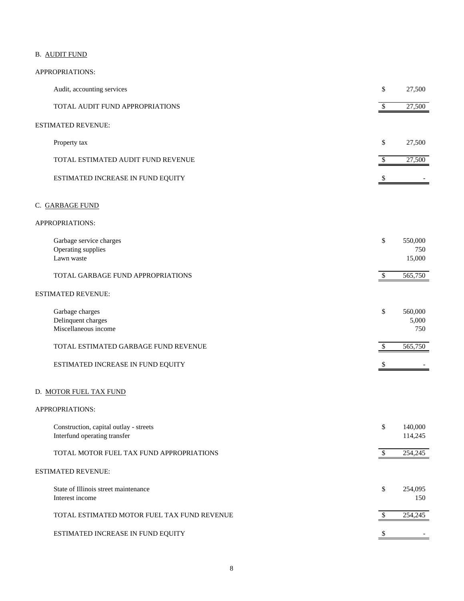## B. AUDIT FUND

| Audit, accounting services                                             | \$     | 27,500                   |
|------------------------------------------------------------------------|--------|--------------------------|
| TOTAL AUDIT FUND APPROPRIATIONS                                        | \$     | 27,500                   |
| ESTIMATED REVENUE:                                                     |        |                          |
| Property tax                                                           | \$     | 27,500                   |
| TOTAL ESTIMATED AUDIT FUND REVENUE                                     | \$     | 27,500                   |
| ESTIMATED INCREASE IN FUND EQUITY                                      | \$     |                          |
| C. <u>GARBAGE FUND</u>                                                 |        |                          |
| APPROPRIATIONS:                                                        |        |                          |
| Garbage service charges<br>Operating supplies<br>Lawn waste            | \$     | 550,000<br>750<br>15,000 |
| TOTAL GARBAGE FUND APPROPRIATIONS                                      | $\$$   | 565,750                  |
| <b>ESTIMATED REVENUE:</b>                                              |        |                          |
| Garbage charges<br>Delinquent charges<br>Miscellaneous income          | \$     | 560,000<br>5,000<br>750  |
| TOTAL ESTIMATED GARBAGE FUND REVENUE                                   | \$     | 565,750                  |
| ESTIMATED INCREASE IN FUND EQUITY                                      | \$     |                          |
| D. MOTOR FUEL TAX FUND                                                 |        |                          |
| APPROPRIATIONS:                                                        |        |                          |
| Construction, capital outlay - streets<br>Interfund operating transfer | $\$$   | 140,000<br>114,245       |
| TOTAL MOTOR FUEL TAX FUND APPROPRIATIONS                               | $\$\,$ | 254,245                  |
| <b>ESTIMATED REVENUE:</b>                                              |        |                          |
| State of Illinois street maintenance<br>Interest income                | \$     | 254,095<br>150           |
| TOTAL ESTIMATED MOTOR FUEL TAX FUND REVENUE                            | \$     | 254,245                  |
| ESTIMATED INCREASE IN FUND EQUITY                                      | \$     |                          |
|                                                                        |        |                          |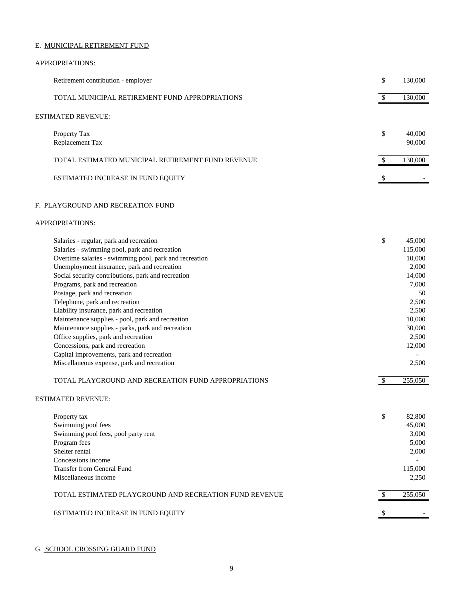### E. MUNICIPAL RETIREMENT FUND

| Retirement contribution - employer                | \$<br>130,000          |
|---------------------------------------------------|------------------------|
| TOTAL MUNICIPAL RETIREMENT FUND APPROPRIATIONS    | 130,000                |
| <b>ESTIMATED REVENUE:</b>                         |                        |
| Property Tax<br>Replacement Tax                   | \$<br>40,000<br>90,000 |
| TOTAL ESTIMATED MUNICIPAL RETIREMENT FUND REVENUE | 130,000                |
| ESTIMATED INCREASE IN FUND EQUITY                 |                        |

## F. PLAYGROUND AND RECREATION FUND

### APPROPRIATIONS:

| Salaries - regular, park and recreation                | \$<br>45,000 |
|--------------------------------------------------------|--------------|
| Salaries - swimming pool, park and recreation          | 115,000      |
| Overtime salaries - swimming pool, park and recreation | 10,000       |
| Unemployment insurance, park and recreation            | 2,000        |
| Social security contributions, park and recreation     | 14,000       |
| Programs, park and recreation                          | 7,000        |
| Postage, park and recreation                           | 50           |
| Telephone, park and recreation                         | 2,500        |
| Liability insurance, park and recreation               | 2.500        |
| Maintenance supplies - pool, park and recreation       | 10,000       |
| Maintenance supplies - parks, park and recreation      | 30,000       |
| Office supplies, park and recreation                   | 2.500        |
| Concessions, park and recreation                       | 12,000       |
| Capital improvements, park and recreation              |              |
| Miscellaneous expense, park and recreation             | 2.500        |

| TOTAL PLAYGROUND AND RECREATION FUND APPROPRIATIONS |  |
|-----------------------------------------------------|--|
| --- - . ---- - - --- ---- -- --                     |  |

# ESTIMATED REVENUE:

| Property tax                                           | \$<br>82,800 |
|--------------------------------------------------------|--------------|
| Swimming pool fees                                     | 45,000       |
| Swimming pool fees, pool party rent                    | 3,000        |
| Program fees                                           | 5,000        |
| Shelter rental                                         | 2,000        |
| Concessions income                                     |              |
| Transfer from General Fund                             | 115,000      |
| Miscellaneous income                                   | 2,250        |
|                                                        |              |
| TOTAL ESTIMATED PLAYGROUND AND RECREATION FUND REVENUE | 255,050      |
|                                                        |              |
| ESTIMATED INCREASE IN FUND EQUITY                      |              |

## G. SCHOOL CROSSING GUARD FUND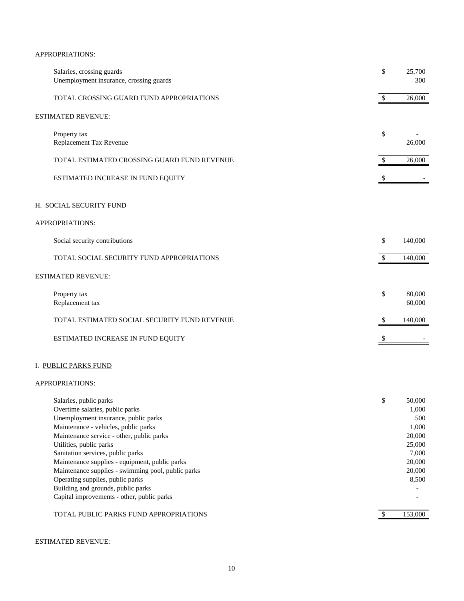## APPROPRIATIONS:

| Salaries, crossing guards<br>Unemployment insurance, crossing guards                                                                                                                                                                                                                                                                                                                                                                                                                   | \$                        | 25,700<br>300                                                                             |
|----------------------------------------------------------------------------------------------------------------------------------------------------------------------------------------------------------------------------------------------------------------------------------------------------------------------------------------------------------------------------------------------------------------------------------------------------------------------------------------|---------------------------|-------------------------------------------------------------------------------------------|
| TOTAL CROSSING GUARD FUND APPROPRIATIONS                                                                                                                                                                                                                                                                                                                                                                                                                                               | $\boldsymbol{\mathsf{S}}$ | 26,000                                                                                    |
| ESTIMATED REVENUE:                                                                                                                                                                                                                                                                                                                                                                                                                                                                     |                           |                                                                                           |
| Property tax<br>Replacement Tax Revenue                                                                                                                                                                                                                                                                                                                                                                                                                                                | \$                        | 26,000                                                                                    |
| TOTAL ESTIMATED CROSSING GUARD FUND REVENUE                                                                                                                                                                                                                                                                                                                                                                                                                                            | \$                        | 26,000                                                                                    |
| ESTIMATED INCREASE IN FUND EQUITY                                                                                                                                                                                                                                                                                                                                                                                                                                                      | \$                        |                                                                                           |
| H. SOCIAL SECURITY FUND                                                                                                                                                                                                                                                                                                                                                                                                                                                                |                           |                                                                                           |
| APPROPRIATIONS:                                                                                                                                                                                                                                                                                                                                                                                                                                                                        |                           |                                                                                           |
| Social security contributions                                                                                                                                                                                                                                                                                                                                                                                                                                                          | \$                        | 140,000                                                                                   |
| TOTAL SOCIAL SECURITY FUND APPROPRIATIONS                                                                                                                                                                                                                                                                                                                                                                                                                                              | \$                        | 140,000                                                                                   |
| <b>ESTIMATED REVENUE:</b>                                                                                                                                                                                                                                                                                                                                                                                                                                                              |                           |                                                                                           |
| Property tax<br>Replacement tax                                                                                                                                                                                                                                                                                                                                                                                                                                                        | \$                        | 80,000<br>60,000                                                                          |
| TOTAL ESTIMATED SOCIAL SECURITY FUND REVENUE                                                                                                                                                                                                                                                                                                                                                                                                                                           | \$                        | 140,000                                                                                   |
| ESTIMATED INCREASE IN FUND EQUITY                                                                                                                                                                                                                                                                                                                                                                                                                                                      | \$                        |                                                                                           |
| I. PUBLIC PARKS FUND                                                                                                                                                                                                                                                                                                                                                                                                                                                                   |                           |                                                                                           |
| APPROPRIATIONS:                                                                                                                                                                                                                                                                                                                                                                                                                                                                        |                           |                                                                                           |
| Salaries, public parks<br>Overtime salaries, public parks<br>Unemployment insurance, public parks<br>Maintenance - vehicles, public parks<br>Maintenance service - other, public parks<br>Utilities, public parks<br>Sanitation services, public parks<br>Maintenance supplies - equipment, public parks<br>Maintenance supplies - swimming pool, public parks<br>Operating supplies, public parks<br>Building and grounds, public parks<br>Capital improvements - other, public parks | \$                        | 50,000<br>1,000<br>500<br>1,000<br>20,000<br>25,000<br>7,000<br>20,000<br>20,000<br>8,500 |
| TOTAL PUBLIC PARKS FUND APPROPRIATIONS                                                                                                                                                                                                                                                                                                                                                                                                                                                 | $\overline{\mathcal{S}}$  | 153,000                                                                                   |

## ESTIMATED REVENUE: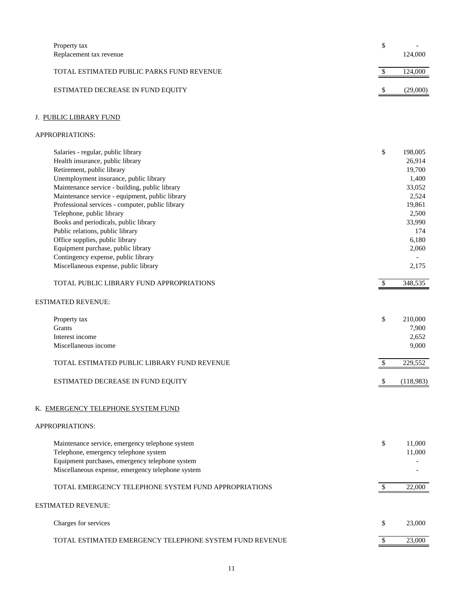| Property tax                                            | \$                        |                |
|---------------------------------------------------------|---------------------------|----------------|
| Replacement tax revenue                                 |                           | 124,000        |
| TOTAL ESTIMATED PUBLIC PARKS FUND REVENUE               | $\boldsymbol{\mathsf{S}}$ | 124,000        |
| ESTIMATED DECREASE IN FUND EQUITY                       | \$                        | (29,000)       |
| J. PUBLIC LIBRARY FUND                                  |                           |                |
| APPROPRIATIONS:                                         |                           |                |
| Salaries - regular, public library                      | \$                        | 198,005        |
| Health insurance, public library                        |                           | 26,914         |
| Retirement, public library                              |                           | 19,700         |
| Unemployment insurance, public library                  |                           | 1,400          |
| Maintenance service - building, public library          |                           | 33,052         |
| Maintenance service - equipment, public library         |                           | 2,524          |
| Professional services - computer, public library        |                           | 19,861         |
| Telephone, public library                               |                           | 2,500          |
| Books and periodicals, public library                   |                           | 33,990         |
| Public relations, public library                        |                           | 174            |
| Office supplies, public library                         |                           | 6,180          |
| Equipment purchase, public library                      |                           | 2,060          |
| Contingency expense, public library                     |                           |                |
| Miscellaneous expense, public library                   |                           | 2,175          |
| TOTAL PUBLIC LIBRARY FUND APPROPRIATIONS                | $\mathbb{S}$              | 348,535        |
| <b>ESTIMATED REVENUE:</b>                               |                           |                |
|                                                         | \$                        | 210,000        |
| Property tax                                            |                           |                |
| Grants                                                  |                           | 7,900          |
| Interest income<br>Miscellaneous income                 |                           | 2,652<br>9,000 |
|                                                         |                           |                |
| TOTAL ESTIMATED PUBLIC LIBRARY FUND REVENUE             | \$                        | 229,552        |
| ESTIMATED DECREASE IN FUND EQUITY                       | \$                        | (118,983)      |
| K. EMERGENCY TELEPHONE SYSTEM FUND                      |                           |                |
| APPROPRIATIONS:                                         |                           |                |
| Maintenance service, emergency telephone system         | \$                        | 11,000         |
| Telephone, emergency telephone system                   |                           | 11,000         |
| Equipment purchases, emergency telephone system         |                           |                |
| Miscellaneous expense, emergency telephone system       |                           |                |
| TOTAL EMERGENCY TELEPHONE SYSTEM FUND APPROPRIATIONS    | $\sqrt[6]{3}$             | 22,000         |
| ESTIMATED REVENUE:                                      |                           |                |
| Charges for services                                    | \$                        | 23,000         |
| TOTAL ESTIMATED EMERGENCY TELEPHONE SYSTEM FUND REVENUE | \$                        | 23,000         |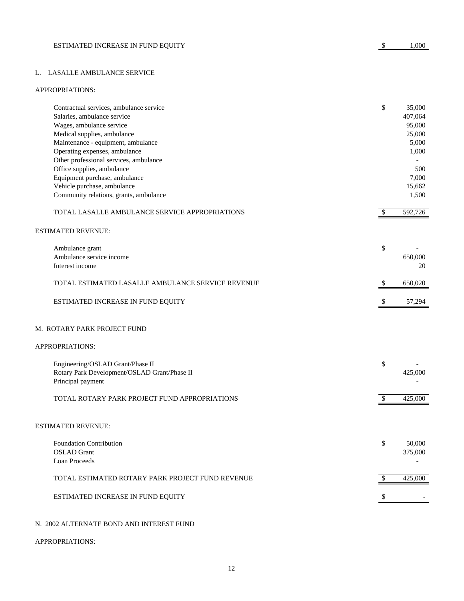## L. LASALLE AMBULANCE SERVICE

#### APPROPRIATIONS:

| Contractual services, ambulance service           | \$            | 35,000  |
|---------------------------------------------------|---------------|---------|
| Salaries, ambulance service                       |               | 407,064 |
| Wages, ambulance service                          |               | 95,000  |
| Medical supplies, ambulance                       |               | 25,000  |
| Maintenance - equipment, ambulance                |               | 5,000   |
| Operating expenses, ambulance                     |               | 1,000   |
| Other professional services, ambulance            |               |         |
| Office supplies, ambulance                        |               | 500     |
| Equipment purchase, ambulance                     |               | 7,000   |
| Vehicle purchase, ambulance                       |               | 15,662  |
| Community relations, grants, ambulance            |               | 1,500   |
| TOTAL LASALLE AMBULANCE SERVICE APPROPRIATIONS    | \$            | 592,726 |
| <b>ESTIMATED REVENUE:</b>                         |               |         |
| Ambulance grant                                   | \$            |         |
| Ambulance service income                          |               | 650,000 |
| Interest income                                   |               | 20      |
|                                                   |               |         |
| TOTAL ESTIMATED LASALLE AMBULANCE SERVICE REVENUE | \$            | 650,020 |
| ESTIMATED INCREASE IN FUND EQUITY                 | \$            | 57,294  |
| M. ROTARY PARK PROJECT FUND                       |               |         |
| APPROPRIATIONS:                                   |               |         |
| Engineering/OSLAD Grant/Phase II                  | \$            |         |
| Rotary Park Development/OSLAD Grant/Phase II      |               | 425,000 |
| Principal payment                                 |               |         |
| TOTAL ROTARY PARK PROJECT FUND APPROPRIATIONS     | \$            | 425,000 |
| <b>ESTIMATED REVENUE:</b>                         |               |         |
|                                                   |               |         |
| Foundation Contribution                           | \$            | 50,000  |
| <b>OSLAD</b> Grant                                |               | 375,000 |
| Loan Proceeds                                     |               |         |
|                                                   |               |         |
| TOTAL ESTIMATED ROTARY PARK PROJECT FUND REVENUE  | $\mathcal{S}$ | 425,000 |
|                                                   |               |         |
| ESTIMATED INCREASE IN FUND EQUITY                 |               |         |
|                                                   |               |         |

## N. 2002 ALTERNATE BOND AND INTEREST FUND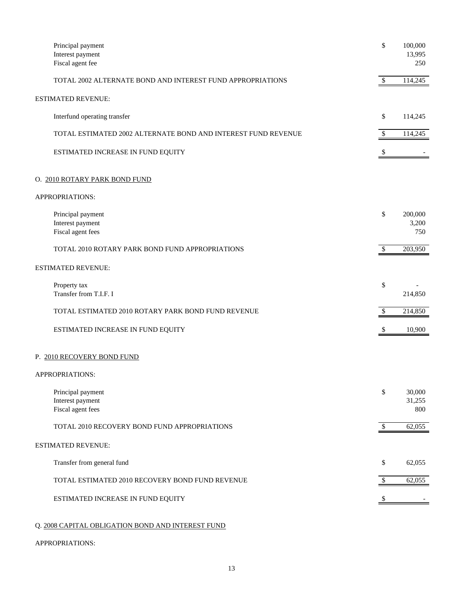| Principal payment<br>Interest payment<br>Fiscal agent fee     | \$                        | 100,000<br>13,995<br>250 |
|---------------------------------------------------------------|---------------------------|--------------------------|
| TOTAL 2002 ALTERNATE BOND AND INTEREST FUND APPROPRIATIONS    | $\mathcal{S}$             | 114,245                  |
| <b>ESTIMATED REVENUE:</b>                                     |                           |                          |
| Interfund operating transfer                                  | \$                        | 114,245                  |
| TOTAL ESTIMATED 2002 ALTERNATE BOND AND INTEREST FUND REVENUE | $\boldsymbol{\mathsf{S}}$ | 114,245                  |
| ESTIMATED INCREASE IN FUND EQUITY                             | $\boldsymbol{\mathsf{S}}$ |                          |
| O. 2010 ROTARY PARK BOND FUND                                 |                           |                          |
| APPROPRIATIONS:                                               |                           |                          |
| Principal payment<br>Interest payment<br>Fiscal agent fees    | \$                        | 200,000<br>3,200<br>750  |
| TOTAL 2010 ROTARY PARK BOND FUND APPROPRIATIONS               | $\mathbb{S}$              | 203,950                  |
| <b>ESTIMATED REVENUE:</b>                                     |                           |                          |
| Property tax<br>Transfer from T.I.F. I                        | \$                        | 214,850                  |
| TOTAL ESTIMATED 2010 ROTARY PARK BOND FUND REVENUE            | \$                        | 214,850                  |
| ESTIMATED INCREASE IN FUND EQUITY                             | \$                        | 10,900                   |
| P. 2010 RECOVERY BOND FUND                                    |                           |                          |
| APPROPRIATIONS:                                               |                           |                          |
| Principal payment<br>Interest payment<br>Fiscal agent fees    | \$                        | 30,000<br>31,255<br>800  |
| TOTAL 2010 RECOVERY BOND FUND APPROPRIATIONS                  | $\sqrt[6]{\frac{1}{2}}$   | 62,055                   |
| <b>ESTIMATED REVENUE:</b>                                     |                           |                          |
| Transfer from general fund                                    | \$                        | 62,055                   |
| TOTAL ESTIMATED 2010 RECOVERY BOND FUND REVENUE               | \$                        | 62,055                   |
| ESTIMATED INCREASE IN FUND EQUITY                             | \$                        |                          |
|                                                               |                           |                          |

# Q. 2008 CAPITAL OBLIGATION BOND AND INTEREST FUND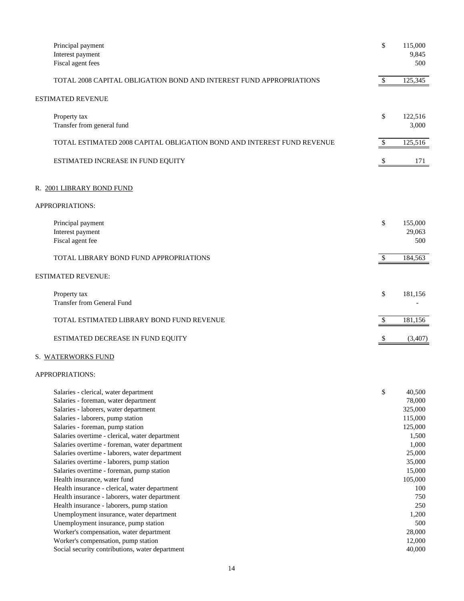| Principal payment<br>Interest payment<br>Fiscal agent fees                                                                                                                                                                                                                                                                                                                                                                                                                                                                                                                                                                                                                                                                                                                                           | \$            | 115,000<br>9,845<br>500                                                                                                                                               |
|------------------------------------------------------------------------------------------------------------------------------------------------------------------------------------------------------------------------------------------------------------------------------------------------------------------------------------------------------------------------------------------------------------------------------------------------------------------------------------------------------------------------------------------------------------------------------------------------------------------------------------------------------------------------------------------------------------------------------------------------------------------------------------------------------|---------------|-----------------------------------------------------------------------------------------------------------------------------------------------------------------------|
| TOTAL 2008 CAPITAL OBLIGATION BOND AND INTEREST FUND APPROPRIATIONS                                                                                                                                                                                                                                                                                                                                                                                                                                                                                                                                                                                                                                                                                                                                  | $\mathcal{S}$ | 125,345                                                                                                                                                               |
| ESTIMATED REVENUE                                                                                                                                                                                                                                                                                                                                                                                                                                                                                                                                                                                                                                                                                                                                                                                    |               |                                                                                                                                                                       |
| Property tax<br>Transfer from general fund                                                                                                                                                                                                                                                                                                                                                                                                                                                                                                                                                                                                                                                                                                                                                           | \$            | 122,516<br>3,000                                                                                                                                                      |
| TOTAL ESTIMATED 2008 CAPITAL OBLIGATION BOND AND INTEREST FUND REVENUE                                                                                                                                                                                                                                                                                                                                                                                                                                                                                                                                                                                                                                                                                                                               | \$            | 125,516                                                                                                                                                               |
| ESTIMATED INCREASE IN FUND EQUITY                                                                                                                                                                                                                                                                                                                                                                                                                                                                                                                                                                                                                                                                                                                                                                    |               | 171                                                                                                                                                                   |
| R. <u>2001 LIBRARY BOND FUND</u>                                                                                                                                                                                                                                                                                                                                                                                                                                                                                                                                                                                                                                                                                                                                                                     |               |                                                                                                                                                                       |
| APPROPRIATIONS:                                                                                                                                                                                                                                                                                                                                                                                                                                                                                                                                                                                                                                                                                                                                                                                      |               |                                                                                                                                                                       |
| Principal payment<br>Interest payment<br>Fiscal agent fee                                                                                                                                                                                                                                                                                                                                                                                                                                                                                                                                                                                                                                                                                                                                            | \$            | 155,000<br>29,063<br>500                                                                                                                                              |
| TOTAL LIBRARY BOND FUND APPROPRIATIONS                                                                                                                                                                                                                                                                                                                                                                                                                                                                                                                                                                                                                                                                                                                                                               | $\mathbb{S}$  | 184,563                                                                                                                                                               |
| <b>ESTIMATED REVENUE:</b>                                                                                                                                                                                                                                                                                                                                                                                                                                                                                                                                                                                                                                                                                                                                                                            |               |                                                                                                                                                                       |
| Property tax<br><b>Transfer from General Fund</b>                                                                                                                                                                                                                                                                                                                                                                                                                                                                                                                                                                                                                                                                                                                                                    | \$            | 181,156                                                                                                                                                               |
| TOTAL ESTIMATED LIBRARY BOND FUND REVENUE                                                                                                                                                                                                                                                                                                                                                                                                                                                                                                                                                                                                                                                                                                                                                            | \$            | 181,156                                                                                                                                                               |
| ESTIMATED DECREASE IN FUND EQUITY                                                                                                                                                                                                                                                                                                                                                                                                                                                                                                                                                                                                                                                                                                                                                                    |               | (3,407)                                                                                                                                                               |
| S. WATERWORKS FUND                                                                                                                                                                                                                                                                                                                                                                                                                                                                                                                                                                                                                                                                                                                                                                                   |               |                                                                                                                                                                       |
| APPROPRIATIONS:                                                                                                                                                                                                                                                                                                                                                                                                                                                                                                                                                                                                                                                                                                                                                                                      |               |                                                                                                                                                                       |
| Salaries - clerical, water department<br>Salaries - foreman, water department<br>Salaries - laborers, water department<br>Salaries - laborers, pump station<br>Salaries - foreman, pump station<br>Salaries overtime - clerical, water department<br>Salaries overtime - foreman, water department<br>Salaries overtime - laborers, water department<br>Salaries overtime - laborers, pump station<br>Salaries overtime - foreman, pump station<br>Health insurance, water fund<br>Health insurance - clerical, water department<br>Health insurance - laborers, water department<br>Health insurance - laborers, pump station<br>Unemployment insurance, water department<br>Unemployment insurance, pump station<br>Worker's compensation, water department<br>Worker's compensation, pump station | \$            | 40,500<br>78,000<br>325,000<br>115,000<br>125,000<br>1,500<br>1,000<br>25,000<br>35,000<br>15,000<br>105,000<br>100<br>750<br>250<br>1,200<br>500<br>28,000<br>12,000 |
| Social security contributions, water department                                                                                                                                                                                                                                                                                                                                                                                                                                                                                                                                                                                                                                                                                                                                                      |               | 40,000                                                                                                                                                                |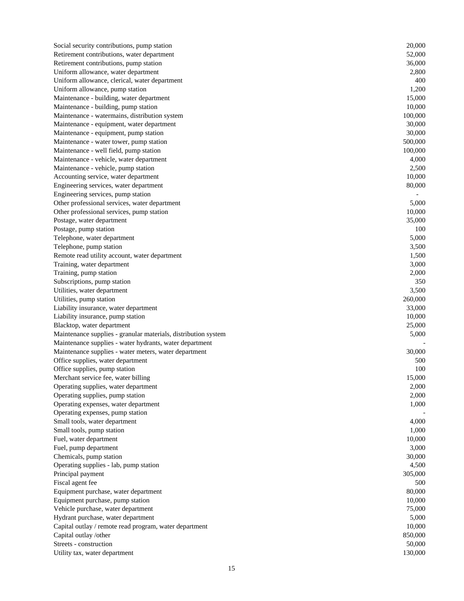| Social security contributions, pump station                    | 20,000  |
|----------------------------------------------------------------|---------|
| Retirement contributions, water department                     | 52,000  |
| Retirement contributions, pump station                         | 36,000  |
| Uniform allowance, water department                            | 2,800   |
| Uniform allowance, clerical, water department                  | 400     |
| Uniform allowance, pump station                                | 1,200   |
| Maintenance - building, water department                       | 15,000  |
| Maintenance - building, pump station                           | 10,000  |
| Maintenance - watermains, distribution system                  | 100,000 |
| Maintenance - equipment, water department                      | 30,000  |
| Maintenance - equipment, pump station                          | 30,000  |
| Maintenance - water tower, pump station                        | 500,000 |
| Maintenance - well field, pump station                         | 100,000 |
| Maintenance - vehicle, water department                        | 4,000   |
| Maintenance - vehicle, pump station                            | 2,500   |
| Accounting service, water department                           | 10,000  |
| Engineering services, water department                         | 80,000  |
| Engineering services, pump station                             |         |
| Other professional services, water department                  | 5,000   |
| Other professional services, pump station                      | 10,000  |
| Postage, water department                                      | 35,000  |
| Postage, pump station                                          | 100     |
| Telephone, water department                                    | 5,000   |
| Telephone, pump station                                        | 3,500   |
| Remote read utility account, water department                  | 1,500   |
| Training, water department                                     | 3,000   |
| Training, pump station                                         | 2,000   |
| Subscriptions, pump station                                    | 350     |
| Utilities, water department                                    | 3,500   |
| Utilities, pump station                                        | 260,000 |
| Liability insurance, water department                          | 33,000  |
| Liability insurance, pump station                              | 10,000  |
| Blacktop, water department                                     | 25,000  |
| Maintenance supplies - granular materials, distribution system | 5,000   |
| Maintenance supplies - water hydrants, water department        |         |
| Maintenance supplies - water meters, water department          | 30,000  |
| Office supplies, water department                              | 500     |
| Office supplies, pump station                                  | 100     |
| Merchant service fee, water billing                            | 15,000  |
| Operating supplies, water department                           | 2,000   |
| Operating supplies, pump station                               | 2,000   |
| Operating expenses, water department                           | 1,000   |
| Operating expenses, pump station                               |         |
| Small tools, water department                                  | 4,000   |
| Small tools, pump station                                      | 1,000   |
| Fuel, water department                                         | 10,000  |
| Fuel, pump department                                          | 3,000   |
| Chemicals, pump station                                        | 30,000  |
| Operating supplies - lab, pump station                         | 4,500   |
| Principal payment                                              | 305,000 |
| Fiscal agent fee                                               | 500     |
| Equipment purchase, water department                           | 80,000  |
| Equipment purchase, pump station                               | 10,000  |
| Vehicle purchase, water department                             | 75,000  |
| Hydrant purchase, water department                             | 5,000   |
| Capital outlay / remote read program, water department         | 10,000  |
| Capital outlay /other                                          | 850,000 |
| Streets - construction                                         | 50,000  |
|                                                                |         |
| Utility tax, water department                                  | 130,000 |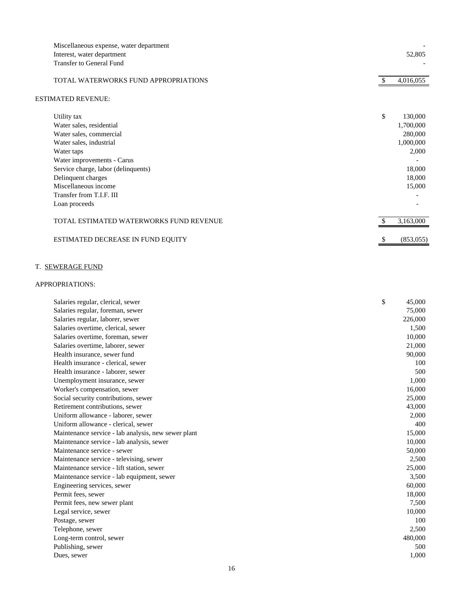| Miscellaneous expense, water department<br>Interest, water department |    | 52,805    |
|-----------------------------------------------------------------------|----|-----------|
| <b>Transfer to General Fund</b>                                       |    |           |
| TOTAL WATERWORKS FUND APPROPRIATIONS                                  |    | 4,016,055 |
| ESTIMATED REVENUE:                                                    |    |           |
| Utility tax                                                           | \$ | 130,000   |
| Water sales, residential                                              |    | 1,700,000 |
| Water sales, commercial                                               |    | 280,000   |
| Water sales, industrial                                               |    | 1,000,000 |
| Water taps                                                            |    | 2,000     |
| Water improvements - Carus                                            |    |           |
| Service charge, labor (delinquents)                                   |    | 18,000    |
| Delinquent charges                                                    |    | 18,000    |
| Miscellaneous income                                                  |    | 15,000    |
| Transfer from T.I.F. III                                              |    |           |
| Loan proceeds                                                         |    |           |
| TOTAL ESTIMATED WATERWORKS FUND REVENUE                               |    | 3,163,000 |
| ESTIMATED DECREASE IN FUND EQUITY                                     | S, | (853,055) |

## T. SEWERAGE FUND

| Salaries regular, clerical, sewer                   | \$<br>45,000 |
|-----------------------------------------------------|--------------|
| Salaries regular, foreman, sewer                    | 75,000       |
| Salaries regular, laborer, sewer                    | 226,000      |
| Salaries overtime, clerical, sewer                  | 1,500        |
| Salaries overtime, foreman, sewer                   | 10,000       |
| Salaries overtime, laborer, sewer                   | 21,000       |
| Health insurance, sewer fund                        | 90,000       |
| Health insurance - clerical, sewer                  | 100          |
| Health insurance - laborer, sewer                   | 500          |
| Unemployment insurance, sewer                       | 1,000        |
| Worker's compensation, sewer                        | 16,000       |
| Social security contributions, sewer                | 25,000       |
| Retirement contributions, sewer                     | 43,000       |
| Uniform allowance - laborer, sewer                  | 2,000        |
| Uniform allowance - clerical, sewer                 | 400          |
| Maintenance service - lab analysis, new sewer plant | 15,000       |
| Maintenance service - lab analysis, sewer           | 10,000       |
| Maintenance service - sewer                         | 50,000       |
| Maintenance service - televising, sewer             | 2,500        |
| Maintenance service - lift station, sewer           | 25,000       |
| Maintenance service - lab equipment, sewer          | 3,500        |
| Engineering services, sewer                         | 60,000       |
| Permit fees, sewer                                  | 18,000       |
| Permit fees, new sewer plant                        | 7,500        |
| Legal service, sewer                                | 10,000       |
| Postage, sewer                                      | 100          |
| Telephone, sewer                                    | 2,500        |
| Long-term control, sewer                            | 480,000      |
| Publishing, sewer                                   | 500          |
| Dues, sewer                                         | 1,000        |
|                                                     |              |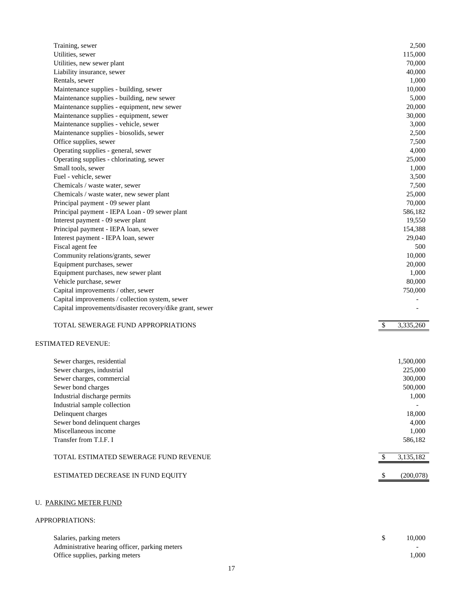| Training, sewer                                          | 2,500                      |
|----------------------------------------------------------|----------------------------|
| Utilities, sewer                                         | 115,000                    |
| Utilities, new sewer plant                               | 70,000                     |
| Liability insurance, sewer                               | 40,000                     |
| Rentals, sewer                                           | 1,000                      |
| Maintenance supplies - building, sewer                   | 10,000                     |
| Maintenance supplies - building, new sewer               | 5,000                      |
| Maintenance supplies - equipment, new sewer              | 20,000                     |
| Maintenance supplies - equipment, sewer                  | 30,000                     |
| Maintenance supplies - vehicle, sewer                    | 3,000                      |
| Maintenance supplies - biosolids, sewer                  | 2,500                      |
| Office supplies, sewer                                   | 7,500                      |
| Operating supplies - general, sewer                      | 4,000                      |
| Operating supplies - chlorinating, sewer                 | 25,000                     |
| Small tools, sewer                                       | 1,000                      |
| Fuel - vehicle, sewer                                    | 3,500                      |
| Chemicals / waste water, sewer                           | 7,500                      |
| Chemicals / waste water, new sewer plant                 | 25,000                     |
| Principal payment - 09 sewer plant                       | 70,000                     |
| Principal payment - IEPA Loan - 09 sewer plant           | 586,182                    |
| Interest payment - 09 sewer plant                        | 19,550                     |
|                                                          |                            |
| Principal payment - IEPA loan, sewer                     | 154,388                    |
| Interest payment - IEPA loan, sewer                      | 29,040                     |
| Fiscal agent fee                                         | 500                        |
| Community relations/grants, sewer                        | 10,000                     |
| Equipment purchases, sewer                               | 20,000                     |
| Equipment purchases, new sewer plant                     | 1,000                      |
| Vehicle purchase, sewer                                  | 80,000                     |
| Capital improvements / other, sewer                      | 750,000                    |
| Capital improvements / collection system, sewer          |                            |
| Capital improvements/disaster recovery/dike grant, sewer |                            |
| TOTAL SEWERAGE FUND APPROPRIATIONS                       | $\sqrt[6]{3}$<br>3,335,260 |
| <b>ESTIMATED REVENUE:</b>                                |                            |
| Sewer charges, residential                               | 1,500,000                  |
| Sewer charges, industrial                                | 225,000                    |
| Sewer charges, commercial                                | 300,000                    |
| Sewer bond charges                                       | 500,000                    |
| Industrial discharge permits                             | 1,000                      |
| Industrial sample collection                             |                            |
| Delinquent charges                                       | 18,000                     |
| Sewer bond delinquent charges                            | 4,000                      |
| Miscellaneous income                                     |                            |
|                                                          | 1,000                      |
| Transfer from T.I.F. I                                   | 586,182                    |
| TOTAL ESTIMATED SEWERAGE FUND REVENUE                    | 3,135,182<br>\$            |
| ESTIMATED DECREASE IN FUND EQUITY                        | (200,078)<br>-S            |
| <b>U. PARKING METER FUND</b>                             |                            |

| Salaries, parking meters                       | 10.000                   |
|------------------------------------------------|--------------------------|
| Administrative hearing officer, parking meters | $\overline{\phantom{0}}$ |
| Office supplies, parking meters                | 1.000                    |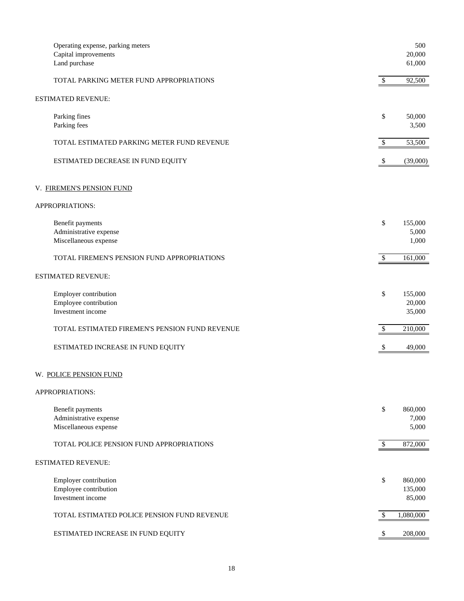| Operating expense, parking meters<br>Capital improvements<br>Land purchase |              | 500<br>20,000<br>61,000      |
|----------------------------------------------------------------------------|--------------|------------------------------|
| TOTAL PARKING METER FUND APPROPRIATIONS                                    | $\mathbb{S}$ | 92,500                       |
| ESTIMATED REVENUE:                                                         |              |                              |
| Parking fines<br>Parking fees                                              | \$           | 50,000<br>3,500              |
| TOTAL ESTIMATED PARKING METER FUND REVENUE                                 | $\mathbb{S}$ | 53,500                       |
| ESTIMATED DECREASE IN FUND EQUITY                                          | \$           | (39,000)                     |
| V. FIREMEN'S PENSION FUND                                                  |              |                              |
| APPROPRIATIONS:                                                            |              |                              |
| Benefit payments<br>Administrative expense<br>Miscellaneous expense        | \$           | 155,000<br>5,000<br>1,000    |
| TOTAL FIREMEN'S PENSION FUND APPROPRIATIONS                                | $\mathbb{S}$ | 161,000                      |
| <b>ESTIMATED REVENUE:</b>                                                  |              |                              |
| Employer contribution<br>Employee contribution<br>Investment income        | \$           | 155,000<br>20,000<br>35,000  |
| TOTAL ESTIMATED FIREMEN'S PENSION FUND REVENUE                             | \$           | 210,000                      |
| ESTIMATED INCREASE IN FUND EQUITY                                          | \$           | 49,000                       |
| W. POLICE PENSION FUND                                                     |              |                              |
| APPROPRIATIONS:                                                            |              |                              |
| Benefit payments<br>Administrative expense<br>Miscellaneous expense        | \$           | 860,000<br>7,000<br>5,000    |
| TOTAL POLICE PENSION FUND APPROPRIATIONS                                   | $\sqrt{3}$   | 872,000                      |
| <b>ESTIMATED REVENUE:</b>                                                  |              |                              |
| Employer contribution<br>Employee contribution<br>Investment income        | \$           | 860,000<br>135,000<br>85,000 |
| TOTAL ESTIMATED POLICE PENSION FUND REVENUE                                | \$           | 1,080,000                    |
| ESTIMATED INCREASE IN FUND EQUITY                                          |              | 208,000                      |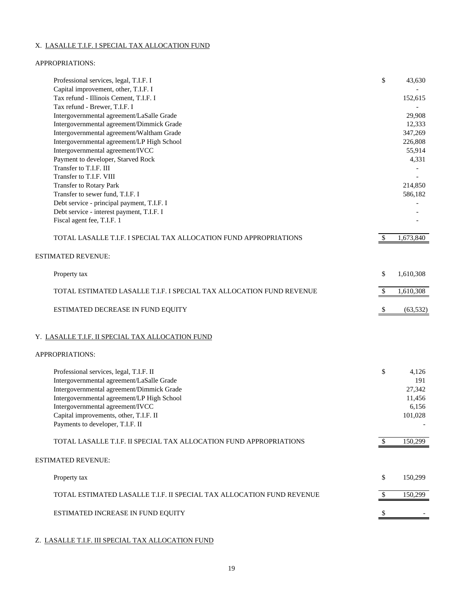## X. LASALLE T.I.F. I SPECIAL TAX ALLOCATION FUND

## APPROPRIATIONS:

| Tax refund - Illinois Cement, T.I.F. I<br>152,615<br>Tax refund - Brewer, T.I.F. I<br>Intergovernmental agreement/LaSalle Grade<br>29,908<br>Intergovernmental agreement/Dimmick Grade<br>12,333<br>Intergovernmental agreement/Waltham Grade<br>347,269<br>Intergovernmental agreement/LP High School<br>226,808<br>Intergovernmental agreement/IVCC<br>55,914<br>Payment to developer, Starved Rock<br>4,331<br>Transfer to T.I.F. III<br>Transfer to T.I.F. VIII<br>Transfer to Rotary Park<br>Transfer to sewer fund, T.I.F. I<br>Debt service - principal payment, T.I.F. I<br>Debt service - interest payment, T.I.F. I<br>Fiscal agent fee, T.I.F. 1<br>$\mathcal{S}$<br>TOTAL LASALLE T.I.F. I SPECIAL TAX ALLOCATION FUND APPROPRIATIONS<br><b>ESTIMATED REVENUE:</b><br>\$<br>Property tax<br>$\boldsymbol{\mathsf{S}}$<br>TOTAL ESTIMATED LASALLE T.I.F. I SPECIAL TAX ALLOCATION FUND REVENUE<br>ESTIMATED DECREASE IN FUND EQUITY<br>\$.<br>Y. LASALLE T.I.F. II SPECIAL TAX ALLOCATION FUND<br>APPROPRIATIONS:<br>\$<br>Professional services, legal, T.I.F. II<br>4,126<br>Intergovernmental agreement/LaSalle Grade<br>Intergovernmental agreement/Dimmick Grade<br>Intergovernmental agreement/LP High School<br>Intergovernmental agreement/IVCC<br>Capital improvements, other, T.I.F. II<br>Payments to developer, T.I.F. II<br>TOTAL LASALLE T.I.F. II SPECIAL TAX ALLOCATION FUND APPROPRIATIONS<br>\$<br><b>ESTIMATED REVENUE:</b><br>\$<br>Property tax<br>150,299<br>TOTAL ESTIMATED LASALLE T.I.F. II SPECIAL TAX ALLOCATION FUND REVENUE<br>\$<br>ESTIMATED INCREASE IN FUND EQUITY<br>\$ | Professional services, legal, T.I.F. I | \$<br>43,630 |
|----------------------------------------------------------------------------------------------------------------------------------------------------------------------------------------------------------------------------------------------------------------------------------------------------------------------------------------------------------------------------------------------------------------------------------------------------------------------------------------------------------------------------------------------------------------------------------------------------------------------------------------------------------------------------------------------------------------------------------------------------------------------------------------------------------------------------------------------------------------------------------------------------------------------------------------------------------------------------------------------------------------------------------------------------------------------------------------------------------------------------------------------------------------------------------------------------------------------------------------------------------------------------------------------------------------------------------------------------------------------------------------------------------------------------------------------------------------------------------------------------------------------------------------------------------------------------------------------------------------------|----------------------------------------|--------------|
|                                                                                                                                                                                                                                                                                                                                                                                                                                                                                                                                                                                                                                                                                                                                                                                                                                                                                                                                                                                                                                                                                                                                                                                                                                                                                                                                                                                                                                                                                                                                                                                                                      | Capital improvement, other, T.I.F. I   |              |
|                                                                                                                                                                                                                                                                                                                                                                                                                                                                                                                                                                                                                                                                                                                                                                                                                                                                                                                                                                                                                                                                                                                                                                                                                                                                                                                                                                                                                                                                                                                                                                                                                      |                                        |              |
|                                                                                                                                                                                                                                                                                                                                                                                                                                                                                                                                                                                                                                                                                                                                                                                                                                                                                                                                                                                                                                                                                                                                                                                                                                                                                                                                                                                                                                                                                                                                                                                                                      |                                        |              |
|                                                                                                                                                                                                                                                                                                                                                                                                                                                                                                                                                                                                                                                                                                                                                                                                                                                                                                                                                                                                                                                                                                                                                                                                                                                                                                                                                                                                                                                                                                                                                                                                                      |                                        |              |
|                                                                                                                                                                                                                                                                                                                                                                                                                                                                                                                                                                                                                                                                                                                                                                                                                                                                                                                                                                                                                                                                                                                                                                                                                                                                                                                                                                                                                                                                                                                                                                                                                      |                                        |              |
|                                                                                                                                                                                                                                                                                                                                                                                                                                                                                                                                                                                                                                                                                                                                                                                                                                                                                                                                                                                                                                                                                                                                                                                                                                                                                                                                                                                                                                                                                                                                                                                                                      |                                        |              |
|                                                                                                                                                                                                                                                                                                                                                                                                                                                                                                                                                                                                                                                                                                                                                                                                                                                                                                                                                                                                                                                                                                                                                                                                                                                                                                                                                                                                                                                                                                                                                                                                                      |                                        |              |
|                                                                                                                                                                                                                                                                                                                                                                                                                                                                                                                                                                                                                                                                                                                                                                                                                                                                                                                                                                                                                                                                                                                                                                                                                                                                                                                                                                                                                                                                                                                                                                                                                      |                                        |              |
|                                                                                                                                                                                                                                                                                                                                                                                                                                                                                                                                                                                                                                                                                                                                                                                                                                                                                                                                                                                                                                                                                                                                                                                                                                                                                                                                                                                                                                                                                                                                                                                                                      |                                        |              |
|                                                                                                                                                                                                                                                                                                                                                                                                                                                                                                                                                                                                                                                                                                                                                                                                                                                                                                                                                                                                                                                                                                                                                                                                                                                                                                                                                                                                                                                                                                                                                                                                                      |                                        |              |
|                                                                                                                                                                                                                                                                                                                                                                                                                                                                                                                                                                                                                                                                                                                                                                                                                                                                                                                                                                                                                                                                                                                                                                                                                                                                                                                                                                                                                                                                                                                                                                                                                      |                                        | 214,850      |
|                                                                                                                                                                                                                                                                                                                                                                                                                                                                                                                                                                                                                                                                                                                                                                                                                                                                                                                                                                                                                                                                                                                                                                                                                                                                                                                                                                                                                                                                                                                                                                                                                      |                                        | 586,182      |
|                                                                                                                                                                                                                                                                                                                                                                                                                                                                                                                                                                                                                                                                                                                                                                                                                                                                                                                                                                                                                                                                                                                                                                                                                                                                                                                                                                                                                                                                                                                                                                                                                      |                                        |              |
|                                                                                                                                                                                                                                                                                                                                                                                                                                                                                                                                                                                                                                                                                                                                                                                                                                                                                                                                                                                                                                                                                                                                                                                                                                                                                                                                                                                                                                                                                                                                                                                                                      |                                        |              |
|                                                                                                                                                                                                                                                                                                                                                                                                                                                                                                                                                                                                                                                                                                                                                                                                                                                                                                                                                                                                                                                                                                                                                                                                                                                                                                                                                                                                                                                                                                                                                                                                                      |                                        |              |
|                                                                                                                                                                                                                                                                                                                                                                                                                                                                                                                                                                                                                                                                                                                                                                                                                                                                                                                                                                                                                                                                                                                                                                                                                                                                                                                                                                                                                                                                                                                                                                                                                      |                                        | 1,673,840    |
|                                                                                                                                                                                                                                                                                                                                                                                                                                                                                                                                                                                                                                                                                                                                                                                                                                                                                                                                                                                                                                                                                                                                                                                                                                                                                                                                                                                                                                                                                                                                                                                                                      |                                        |              |
|                                                                                                                                                                                                                                                                                                                                                                                                                                                                                                                                                                                                                                                                                                                                                                                                                                                                                                                                                                                                                                                                                                                                                                                                                                                                                                                                                                                                                                                                                                                                                                                                                      |                                        | 1,610,308    |
|                                                                                                                                                                                                                                                                                                                                                                                                                                                                                                                                                                                                                                                                                                                                                                                                                                                                                                                                                                                                                                                                                                                                                                                                                                                                                                                                                                                                                                                                                                                                                                                                                      |                                        | 1,610,308    |
|                                                                                                                                                                                                                                                                                                                                                                                                                                                                                                                                                                                                                                                                                                                                                                                                                                                                                                                                                                                                                                                                                                                                                                                                                                                                                                                                                                                                                                                                                                                                                                                                                      |                                        | (63, 532)    |
|                                                                                                                                                                                                                                                                                                                                                                                                                                                                                                                                                                                                                                                                                                                                                                                                                                                                                                                                                                                                                                                                                                                                                                                                                                                                                                                                                                                                                                                                                                                                                                                                                      |                                        |              |
|                                                                                                                                                                                                                                                                                                                                                                                                                                                                                                                                                                                                                                                                                                                                                                                                                                                                                                                                                                                                                                                                                                                                                                                                                                                                                                                                                                                                                                                                                                                                                                                                                      |                                        |              |
|                                                                                                                                                                                                                                                                                                                                                                                                                                                                                                                                                                                                                                                                                                                                                                                                                                                                                                                                                                                                                                                                                                                                                                                                                                                                                                                                                                                                                                                                                                                                                                                                                      |                                        |              |
|                                                                                                                                                                                                                                                                                                                                                                                                                                                                                                                                                                                                                                                                                                                                                                                                                                                                                                                                                                                                                                                                                                                                                                                                                                                                                                                                                                                                                                                                                                                                                                                                                      |                                        |              |
|                                                                                                                                                                                                                                                                                                                                                                                                                                                                                                                                                                                                                                                                                                                                                                                                                                                                                                                                                                                                                                                                                                                                                                                                                                                                                                                                                                                                                                                                                                                                                                                                                      |                                        | 191          |
|                                                                                                                                                                                                                                                                                                                                                                                                                                                                                                                                                                                                                                                                                                                                                                                                                                                                                                                                                                                                                                                                                                                                                                                                                                                                                                                                                                                                                                                                                                                                                                                                                      |                                        | 27,342       |
|                                                                                                                                                                                                                                                                                                                                                                                                                                                                                                                                                                                                                                                                                                                                                                                                                                                                                                                                                                                                                                                                                                                                                                                                                                                                                                                                                                                                                                                                                                                                                                                                                      |                                        | 11,456       |
|                                                                                                                                                                                                                                                                                                                                                                                                                                                                                                                                                                                                                                                                                                                                                                                                                                                                                                                                                                                                                                                                                                                                                                                                                                                                                                                                                                                                                                                                                                                                                                                                                      |                                        | 6,156        |
|                                                                                                                                                                                                                                                                                                                                                                                                                                                                                                                                                                                                                                                                                                                                                                                                                                                                                                                                                                                                                                                                                                                                                                                                                                                                                                                                                                                                                                                                                                                                                                                                                      |                                        | 101,028      |
|                                                                                                                                                                                                                                                                                                                                                                                                                                                                                                                                                                                                                                                                                                                                                                                                                                                                                                                                                                                                                                                                                                                                                                                                                                                                                                                                                                                                                                                                                                                                                                                                                      |                                        |              |
|                                                                                                                                                                                                                                                                                                                                                                                                                                                                                                                                                                                                                                                                                                                                                                                                                                                                                                                                                                                                                                                                                                                                                                                                                                                                                                                                                                                                                                                                                                                                                                                                                      |                                        | 150,299      |
|                                                                                                                                                                                                                                                                                                                                                                                                                                                                                                                                                                                                                                                                                                                                                                                                                                                                                                                                                                                                                                                                                                                                                                                                                                                                                                                                                                                                                                                                                                                                                                                                                      |                                        |              |
|                                                                                                                                                                                                                                                                                                                                                                                                                                                                                                                                                                                                                                                                                                                                                                                                                                                                                                                                                                                                                                                                                                                                                                                                                                                                                                                                                                                                                                                                                                                                                                                                                      |                                        | 150,299      |
|                                                                                                                                                                                                                                                                                                                                                                                                                                                                                                                                                                                                                                                                                                                                                                                                                                                                                                                                                                                                                                                                                                                                                                                                                                                                                                                                                                                                                                                                                                                                                                                                                      |                                        |              |
|                                                                                                                                                                                                                                                                                                                                                                                                                                                                                                                                                                                                                                                                                                                                                                                                                                                                                                                                                                                                                                                                                                                                                                                                                                                                                                                                                                                                                                                                                                                                                                                                                      |                                        |              |

## Z. LASALLE T.I.F. III SPECIAL TAX ALLOCATION FUND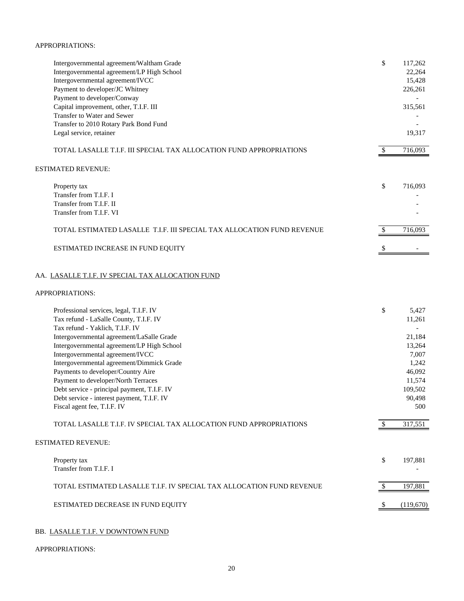#### APPROPRIATIONS:

| Intergovernmental agreement/Waltham Grade<br>Intergovernmental agreement/LP High School | \$           | 117,262<br>22,264 |
|-----------------------------------------------------------------------------------------|--------------|-------------------|
| Intergovernmental agreement/IVCC                                                        |              | 15,428            |
| Payment to developer/JC Whitney                                                         |              | 226,261           |
| Payment to developer/Conway                                                             |              |                   |
| Capital improvement, other, T.I.F. III<br>Transfer to Water and Sewer                   |              | 315,561           |
| Transfer to 2010 Rotary Park Bond Fund                                                  |              |                   |
| Legal service, retainer                                                                 |              | 19,317            |
|                                                                                         |              |                   |
| TOTAL LASALLE T.I.F. III SPECIAL TAX ALLOCATION FUND APPROPRIATIONS                     | \$           | 716,093           |
| <b>ESTIMATED REVENUE:</b>                                                               |              |                   |
| Property tax                                                                            | \$           | 716,093           |
| Transfer from T.I.F. I                                                                  |              |                   |
| Transfer from T.I.F. II                                                                 |              |                   |
| Transfer from T.I.F. VI                                                                 |              |                   |
| TOTAL ESTIMATED LASALLE T.I.F. III SPECIAL TAX ALLOCATION FUND REVENUE                  | \$           | 716,093           |
| ESTIMATED INCREASE IN FUND EQUITY                                                       |              |                   |
| APPROPRIATIONS:                                                                         |              |                   |
| Professional services, legal, T.I.F. IV                                                 | \$           | 5,427             |
| Tax refund - LaSalle County, T.I.F. IV                                                  |              | 11,261            |
| Tax refund - Yaklich, T.I.F. IV                                                         |              |                   |
| Intergovernmental agreement/LaSalle Grade                                               |              | 21,184            |
| Intergovernmental agreement/LP High School<br>Intergovernmental agreement/IVCC          |              | 13,264<br>7,007   |
| Intergovernmental agreement/Dimmick Grade                                               |              | 1,242             |
| Payments to developer/Country Aire                                                      |              | 46,092            |
| Payment to developer/North Terraces                                                     |              | 11,574            |
| Debt service - principal payment, T.I.F. IV                                             |              | 109,502           |
| Debt service - interest payment, T.I.F. IV                                              |              | 90,498            |
| Fiscal agent fee, T.I.F. IV                                                             |              | 500               |
| TOTAL LASALLE T.I.F. IV SPECIAL TAX ALLOCATION FUND APPROPRIATIONS                      | $\mathbb{S}$ | 317,551           |
| <b>ESTIMATED REVENUE:</b>                                                               |              |                   |
| Property tax                                                                            | \$           | 197,881           |
| Transfer from T.I.F. I                                                                  |              |                   |
|                                                                                         |              |                   |
| TOTAL ESTIMATED LASALLE T.I.F. IV SPECIAL TAX ALLOCATION FUND REVENUE                   |              |                   |
|                                                                                         | S            | 197,881           |
| ESTIMATED DECREASE IN FUND EQUITY                                                       | S            | (119,670)         |

## BB. LASALLE T.I.F. V DOWNTOWN FUND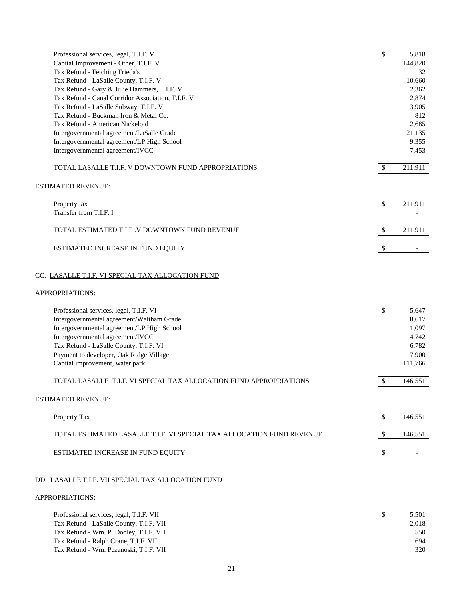| Professional services, legal, T.I.F. V                                                  | \$  | 5,818           |
|-----------------------------------------------------------------------------------------|-----|-----------------|
| Capital Improvement - Other, T.I.F. V                                                   |     | 144,820         |
| Tax Refund - Fetching Frieda's                                                          |     | 32              |
| Tax Refund - LaSalle County, T.I.F. V                                                   |     | 10,660          |
| Tax Refund - Gary & Julie Hammers, T.I.F. V                                             |     | 2,362           |
| Tax Refund - Canal Corridor Association, T.I.F. V                                       |     | 2,874           |
| Tax Refund - LaSalle Subway, T.I.F. V                                                   |     | 3,905           |
| Tax Refund - Buckman Iron & Metal Co.                                                   |     | 812             |
| Tax Refund - American Nickeloid                                                         |     | 2,685<br>21,135 |
| Intergovernmental agreement/LaSalle Grade<br>Intergovernmental agreement/LP High School |     | 9,355           |
| Intergovernmental agreement/IVCC                                                        |     | 7,453           |
|                                                                                         |     |                 |
| TOTAL LASALLE T.I.F. V DOWNTOWN FUND APPROPRIATIONS                                     |     | 211,911         |
| ESTIMATED REVENUE:                                                                      |     |                 |
| Property tax                                                                            | \$  | 211,911         |
| Transfer from T.I.F. I                                                                  |     |                 |
| TOTAL ESTIMATED T.I.F .V DOWNTOWN FUND REVENUE                                          | \$  | 211,911         |
| ESTIMATED INCREASE IN FUND EQUITY                                                       | \$. |                 |
| CC. LASALLE T.I.F. VI SPECIAL TAX ALLOCATION FUND                                       |     |                 |
| APPROPRIATIONS:                                                                         |     |                 |
| Professional services, legal, T.I.F. VI                                                 | \$  | 5,647           |
| Intergovernmental agreement/Waltham Grade                                               |     | 8,617           |
| Intergovernmental agreement/LP High School                                              |     | 1,097           |
| Intergovernmental agreement/IVCC                                                        |     | 4,742           |
| Tax Refund - LaSalle County, T.I.F. VI                                                  |     | 6,782           |
| Payment to developer, Oak Ridge Village                                                 |     | 7,900           |
| Capital improvement, water park                                                         |     | 111,766         |
| TOTAL LASALLE T.I.F. VI SPECIAL TAX ALLOCATION FUND APPROPRIATIONS                      | \$  | 146,551         |
| ESTIMATED REVENUE:                                                                      |     |                 |
| Property Tax                                                                            | \$  | 146,551         |
| TOTAL ESTIMATED LASALLE T.I.F. VI SPECIAL TAX ALLOCATION FUND REVENUE                   | \$  | 146,551         |
| ESTIMATED INCREASE IN FUND EQUITY                                                       | \$  |                 |
|                                                                                         |     |                 |
| DD. LASALLE T.I.F. VII SPECIAL TAX ALLOCATION FUND                                      |     |                 |
| APPROPRIATIONS:                                                                         |     |                 |
| Professional services, legal, T.I.F. VII                                                | \$  | 5,501           |
| Tax Refund - LaSalle County, T.I.F. VII                                                 |     | 2,018           |
| Tax Refund - Wm. P. Dooley, T.I.F. VII                                                  |     | 550             |
| Tax Refund - Ralph Crane, T.I.F. VII                                                    |     | 694             |

Tax Refund - Wm. Pezanoski, T.I.F. VII 320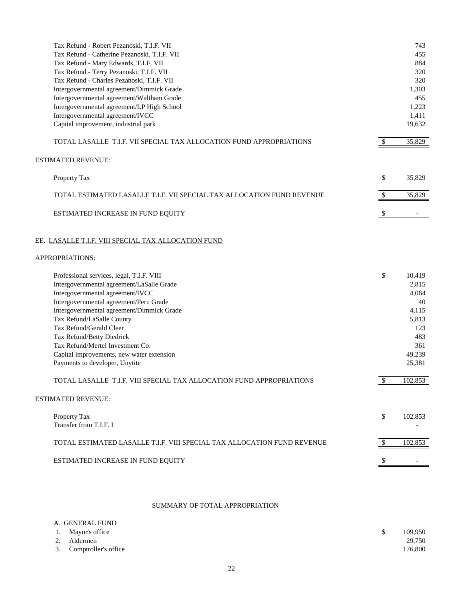| Tax Refund - Robert Pezanoski, T.I.F. VII                               |    | 743     |
|-------------------------------------------------------------------------|----|---------|
| Tax Refund - Catherine Pezanoski, T.I.F. VII                            |    | 455     |
| Tax Refund - Mary Edwards, T.I.F. VII                                   |    | 884     |
| Tax Refund - Terry Pezanoski, T.I.F. VII                                |    | 320     |
| Tax Refund - Charles Pezanoski, T.I.F. VII                              |    | 320     |
| Intergovernmental agreement/Dimmick Grade                               |    | 1,303   |
| Intergovernmental agreement/Waltham Grade                               |    | 455     |
| Intergovernmental agreement/LP High School                              |    | 1,223   |
| Intergovernmental agreement/IVCC                                        |    | 1,411   |
| Capital improvement, industrial park                                    |    | 19,632  |
| TOTAL LASALLE T.I.F. VII SPECIAL TAX ALLOCATION FUND APPROPRIATIONS     |    | 35,829  |
| <b>ESTIMATED REVENUE:</b>                                               |    |         |
| Property Tax                                                            | \$ | 35,829  |
|                                                                         |    |         |
| TOTAL ESTIMATED LASALLE T.I.F. VII SPECIAL TAX ALLOCATION FUND REVENUE  | \$ | 35,829  |
| ESTIMATED INCREASE IN FUND EQUITY                                       |    |         |
| EE. LASALLE T.I.F. VIII SPECIAL TAX ALLOCATION FUND                     |    |         |
| APPROPRIATIONS:                                                         |    |         |
| Professional services, legal, T.I.F. VIII                               | \$ | 10,419  |
| Intergovernmental agreement/LaSalle Grade                               |    | 2,815   |
| Intergovernmental agreement/IVCC                                        |    | 4,064   |
| Intergovernmental agreement/Peru Grade                                  |    | 40      |
| Intergovernmental agreement/Dimmick Grade                               |    | 4,115   |
| Tax Refund/LaSalle County                                               |    | 5,813   |
| Tax Refund/Gerald Cleer                                                 |    | 123     |
| Tax Refund/Betty Diedrick                                               |    | 483     |
| Tax Refund/Mertel Investment Co.                                        |    | 361     |
| Capital improvements, new water extension                               |    | 49,239  |
| Payments to developer, Unytite                                          |    | 25,381  |
| TOTAL LASALLE T.I.F. VIII SPECIAL TAX ALLOCATION FUND APPROPRIATIONS    | \$ | 102,853 |
| <b>ESTIMATED REVENUE:</b>                                               |    |         |
| Property Tax                                                            | \$ | 102,853 |
| Transfer from T.I.F. I                                                  |    |         |
| TOTAL ESTIMATED LASALLE T.I.F. VIII SPECIAL TAX ALLOCATION FUND REVENUE | S. | 102,853 |
| ESTIMATED INCREASE IN FUND EQUITY                                       |    |         |
|                                                                         |    |         |

## SUMMARY OF TOTAL APPROPRIATION

| A. GENERAL FUND         |         |
|-------------------------|---------|
| 1. Mayor's office       | 109.950 |
| 2. Aldermen             | 29,750  |
| 3. Comptroller's office | 176,800 |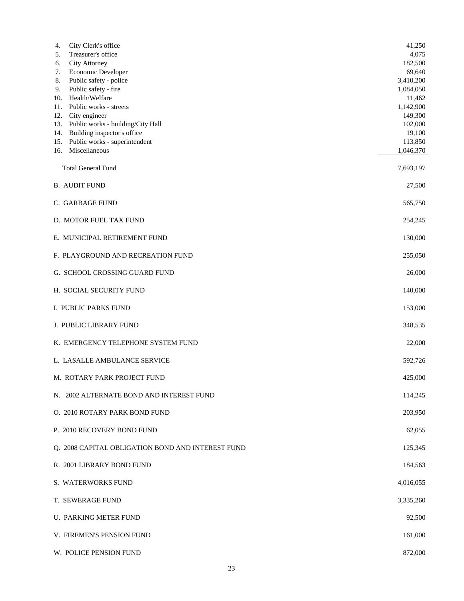| City Clerk's office<br>4.                                    | 41,250               |
|--------------------------------------------------------------|----------------------|
| Treasurer's office<br>5.                                     | 4,075                |
| <b>City Attorney</b><br>6.<br>Economic Developer<br>7.       | 182,500<br>69,640    |
| 8.<br>Public safety - police                                 | 3,410,200            |
| Public safety - fire<br>9.                                   | 1,084,050            |
| Health/Welfare<br>10.                                        | 11,462               |
| 11.<br>Public works - streets                                | 1,142,900            |
| 12.<br>City engineer                                         | 149,300              |
| 13. Public works - building/City Hall                        | 102,000              |
| Building inspector's office<br>14.                           | 19,100               |
| Public works - superintendent<br>15.<br>Miscellaneous<br>16. | 113,850<br>1,046,370 |
|                                                              |                      |
| <b>Total General Fund</b>                                    | 7,693,197            |
| <b>B. AUDIT FUND</b>                                         | 27,500               |
| C. GARBAGE FUND                                              | 565,750              |
| D. MOTOR FUEL TAX FUND                                       | 254,245              |
| E. MUNICIPAL RETIREMENT FUND                                 | 130,000              |
| F. PLAYGROUND AND RECREATION FUND                            | 255,050              |
| G. SCHOOL CROSSING GUARD FUND                                | 26,000               |
| H. SOCIAL SECURITY FUND                                      | 140,000              |
| I. PUBLIC PARKS FUND                                         | 153,000              |
| <b>J. PUBLIC LIBRARY FUND</b>                                | 348,535              |
| K. EMERGENCY TELEPHONE SYSTEM FUND                           | 22,000               |
| L. LASALLE AMBULANCE SERVICE                                 | 592,726              |
| M. ROTARY PARK PROJECT FUND                                  | 425,000              |
| N. 2002 ALTERNATE BOND AND INTEREST FUND                     | 114,245              |
| O. 2010 ROTARY PARK BOND FUND                                | 203,950              |
| P. 2010 RECOVERY BOND FUND                                   | 62,055               |
| Q. 2008 CAPITAL OBLIGATION BOND AND INTEREST FUND            | 125,345              |
| R. 2001 LIBRARY BOND FUND                                    | 184,563              |
| S. WATERWORKS FUND                                           | 4,016,055            |
| T. SEWERAGE FUND                                             | 3,335,260            |
| U. PARKING METER FUND                                        | 92,500               |
| V. FIREMEN'S PENSION FUND                                    | 161,000              |
| W. POLICE PENSION FUND                                       | 872,000              |